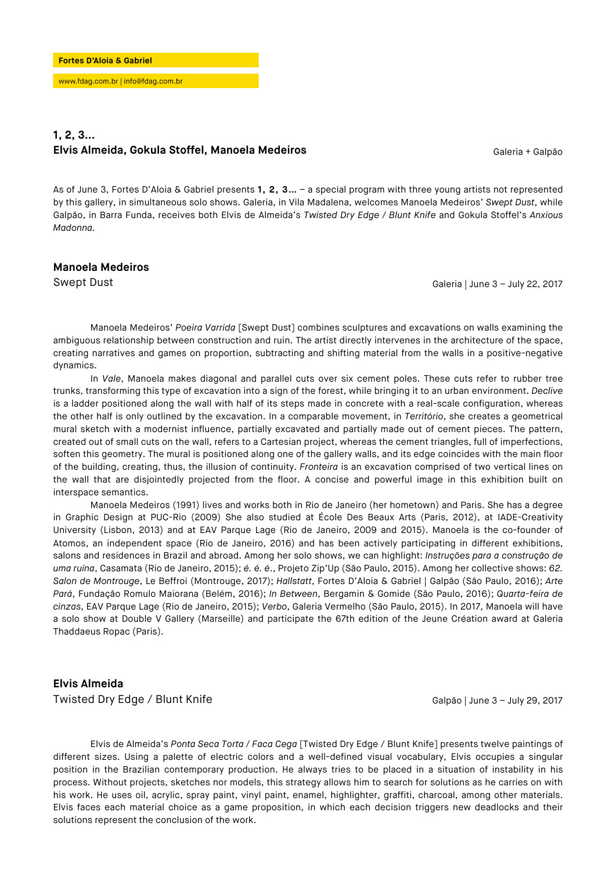# **1, 2, 3... Elvis Almeida, Gokula Stoffel, Manoela Medeiros** Galentina de Caleria + Galpão

As of June 3, Fortes D'Aloia & Gabriel presents **1, 2, 3…** – a special program with three young artists not represented by this gallery, in simultaneous solo shows. Galeria, in Vila Madalena, welcomes Manoela Medeiros' *Swept Dust*, while Galpão, in Barra Funda, receives both Elvis de Almeida's *Twisted Dry Edge / Blunt Knife* and Gokula Stoffel's *Anxious Madonna.*

### **Manoela Medeiros**

Swept Dust Galeria | June 3 – July 22, 2017

Manoela Medeiros' *Poeira Varrida* [Swept Dust] combines sculptures and excavations on walls examining the ambiguous relationship between construction and ruin. The artist directly intervenes in the architecture of the space, creating narratives and games on proportion, subtracting and shifting material from the walls in a positive-negative dynamics.

 In *Vale*, Manoela makes diagonal and parallel cuts over six cement poles. These cuts refer to rubber tree trunks, transforming this type of excavation into a sign of the forest, while bringing it to an urban environment. *Declive*  is a ladder positioned along the wall with half of its steps made in concrete with a real-scale configuration, whereas the other half is only outlined by the excavation. In a comparable movement, in *Território*, she creates a geometrical mural sketch with a modernist influence, partially excavated and partially made out of cement pieces. The pattern, created out of small cuts on the wall, refers to a Cartesian project, whereas the cement triangles, full of imperfections, soften this geometry. The mural is positioned along one of the gallery walls, and its edge coincides with the main floor of the building, creating, thus, the illusion of continuity. *Fronteira* is an excavation comprised of two vertical lines on the wall that are disjointedly projected from the floor. A concise and powerful image in this exhibition built on interspace semantics.

Manoela Medeiros (1991) lives and works both in Rio de Janeiro (her hometown) and Paris. She has a degree in Graphic Design at PUC-Rio (2009) She also studied at École Des Beaux Arts (Paris, 2012), at IADE-Creativity University (Lisbon, 2013) and at EAV Parque Lage (Rio de Janeiro, 2009 and 2015). Manoela is the co-founder of Atomos, an independent space (Rio de Janeiro, 2016) and has been actively participating in different exhibitions, salons and residences in Brazil and abroad. Among her solo shows, we can highlight: *Instruções para a construção de uma ruína*, Casamata (Rio de Janeiro, 2015); *é. é. é*., Projeto Zip'Up (São Paulo, 2015). Among her collective shows: *62. Salon de Montrouge*, Le Beffroi (Montrouge, 2017); *Hallstatt*, Fortes D'Aloia & Gabriel | Galpão (São Paulo, 2016); *Arte Pará*, Fundação Romulo Maiorana (Belém, 2016); *In Between*, Bergamin & Gomide (São Paulo, 2016); *Quarta-feira de cinzas*, EAV Parque Lage (Rio de Janeiro, 2015); *Verbo*, Galeria Vermelho (São Paulo, 2015). In 2017, Manoela will have a solo show at Double V Gallery (Marseille) and participate the 67th edition of the Jeune Création award at Galeria Thaddaeus Ropac (Paris).

### **Elvis Almeida**

Twisted Dry Edge / Blunt Knife Galpão | June 3 – July 29, 2017

Elvis de Almeida's *Ponta Seca Torta / Faca Cega* [Twisted Dry Edge / Blunt Knife] presents twelve paintings of different sizes. Using a palette of electric colors and a well-defined visual vocabulary, Elvis occupies a singular position in the Brazilian contemporary production. He always tries to be placed in a situation of instability in his process. Without projects, sketches nor models, this strategy allows him to search for solutions as he carries on with his work. He uses oil, acrylic, spray paint, vinyl paint, enamel, highlighter, graffiti, charcoal, among other materials. Elvis faces each material choice as a game proposition, in which each decision triggers new deadlocks and their solutions represent the conclusion of the work.